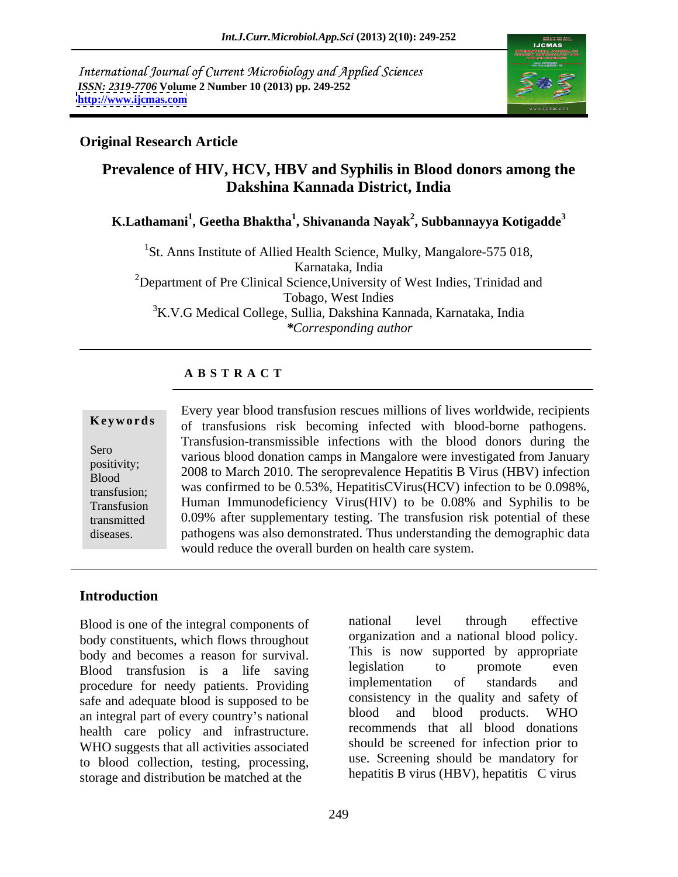International Journal of Current Microbiology and Applied Sciences *ISSN: 2319-7706* **Volume 2 Number 10 (2013) pp. 249-252 <http://www.ijcmas.com>**



## **Original Research Article**

## **Prevalence of HIV, HCV, HBV and Syphilis in Blood donors among the Dakshina Kannada District, India**

## **K.Lathamani<sup>1</sup> , Geetha Bhaktha<sup>1</sup> , Shivananda Nayak<sup>2</sup> , Subbannayya Kotigadde<sup>3</sup>**

<sup>1</sup>St. Anns Institute of Allied Health Science, Mulky, Mangalore-575 018, Karnataka, India <sup>2</sup>Department of Pre Clinical Science, University of West Indies, Trinidad and Tobago, West Indies 3K.V.G Medical College, Sullia, Dakshina Kannada, Karnataka, India *\*Corresponding author*

#### **A B S T R A C T**

**Ke ywo rds** of transfusions risk becoming infected with blood-borne pathogens. Sero<br>
various blood donation camps in Mangalore were investigated from January positivity;<br>
2008 to March 2010. The seroprevalence Hepatitis B Virus (HBV) infection  $\frac{2000 \text{ to match 2010. The step prevalue requires D. VHus (HD V) infection}}{2000 \text{ to match 2010. The step prevalue frequency of the total.}$ transfusion; was confirmed to be 0.53%, HepatitisCVirus(HCV) infection to be 0.098%, Transfusion Human Immunodeficiency Virus(HIV) to be 0.08% and Syphilis to be transmitted 0.09% after supplementary testing. The transfusion risk potential of these Every year blood transfusion rescues millions of lives worldwide, recipients<br>
of transfusions risk becoming infected with blood-borne pathogens.<br>
Transfusion-transmissible infections with the blood donors during the<br>
vario Transfusion-transmissible infections with the blood donors during the pathogens was also demonstrated. Thus understanding the demographic data would reduce the overall burden on health care system.

#### **Introduction**

body constituents, which flows throughout body and becomes a reason for survival. This is now supported by appropriate<br>Road transfusion is a life saving legislation to promote even Blood transfusion is a life saving legislation to promote even<br>procedure for needy patients Providing implementation of standards and procedure for needy patients. Providing safe and adequate blood is supposed to be<br>an integral part of every country's pational blood and blood products. WHO an integral part of every country's national health care policy and infrastructure. WHO suggests that all activities associated to blood collection, testing, processing, storage and distribution be matched at the

Blood is one of the integral components of antional level through effective national level through effective organization and a national blood policy. This is now supported by appropriate legislation to promote even implementation of standards and consistency in the quality and safety of blood and blood products. WHO recommends that all blood donations should be screened for infection prior to use. Screening should be mandatory for hepatitis B virus (HBV), hepatitis C virus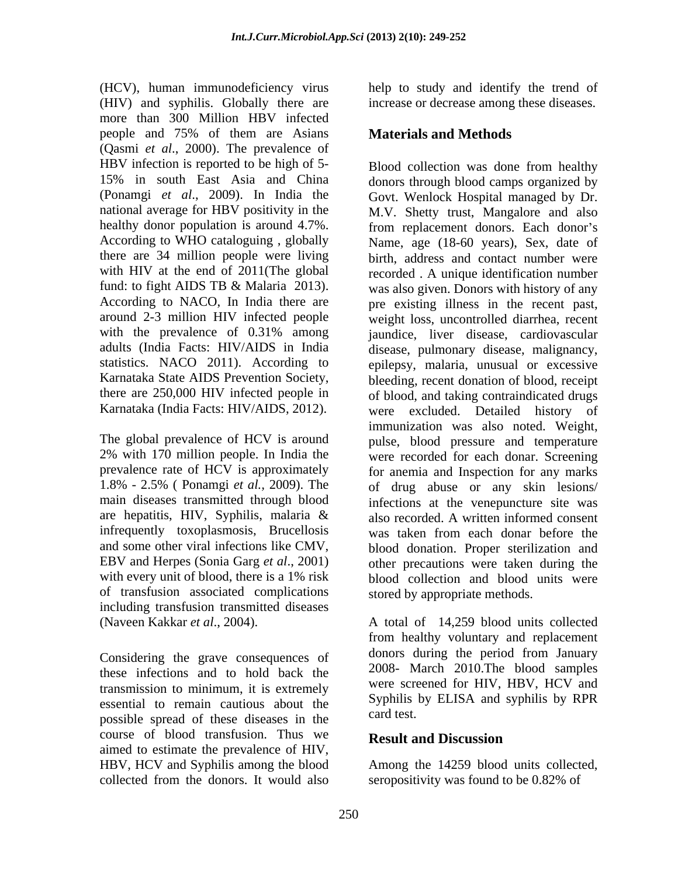(HCV), human immunodeficiency virus help to study and identify the trend of (HIV) and syphilis. Globally there are increase or decrease among these diseases. more than 300 Million HBV infected people and 75% of them are Asians **Materials and Methods** (Qasmi *et al*., 2000). The prevalence of HBV infection is reported to be high of 5- According to WHO cataloguing , globally there are 34 million people were living

are hepatitis, HIV, Syphilis, malaria  $\&$  also recorded. A written informed consent infrequently toxoplasmosis, Brucellosis was taken from each donar before the of transfusion associated complications including transfusion transmitted diseases

these infections and to hold back the 2008- March 2010.1 he blood samples<br>transmission to minimum it is extremely were screened for HIV. HBV, HCV and transmission to minimum, it is extremely essential to remain cautious about the syppuls sense is the card test. possible spread of these diseases in the course of blood transfusion. Thus we **Result and Discussion** aimed to estimate the prevalence of HIV, HBV, HCV and Syphilis among the blood Among the 14259 blood units collected, collected from the donors. It would also

## **Materials and Methods**

15% in south East Asia and China donors through blood camps organized by (Ponamgi *et al*., 2009). In India the Govt. Wenlock Hospital managed by Dr. national average for HBV positivity in the M.V. Shetty trust, Mangalore and also healthy donor population is around 4.7%. from replacement donors. Each donor's with HIV at the end of 2011(The global recorded A unique identification number fund: to fight AIDS TB & Malaria 2013). was also given. Donors with history of any According to NACO, In India there are pre existing illness in the recent past, around 2-3 million HIV infected people weight loss, uncontrolled diarrhea, recent with the prevalence of 0.31% among igundice, liver disease, cardiovascular adults (India Facts: HIV/AIDS in India disease, pulmonary disease, malignancy, statistics. NACO 2011). According to epilepsy, malaria, unusual or excessive Karnataka State AIDS Prevention Society, bleeding, recent donation of blood, receipt there are 250,000 HIV infected people in of blood, and taking contraindicated drugs Karnataka (India Facts: HIV/AIDS, 2012). were excluded. Detailed history of The global prevalence of HCV is around pulse, blood pressure and temperature 2% with 170 million people. In India the were recorded for each donar. Screening prevalence rate of HCV is approximately for anemia and Inspection for any marks 1.8% - 2.5% ( Ponamgi *et al.,* 2009). The of drug abuse or any skin lesions/ main diseases transmitted through blood infections at the venepuncture site was and some other viral infections like CMV, blood donation. Proper sterilization and EBV and Herpes (Sonia Garg *et al*., 2001) other precautions were taken during the with every unit of blood, there is a 1% risk blood collection and blood units were Blood collection was done from healthy Name, age (18-60 years), Sex, date of birth, address and contact number were jaundice, liver disease, cardiovascular immunization was also noted. Weight, also recorded. A written informed consent was taken from each donar before the stored by appropriate methods.

(Naveen Kakkar *et al*., 2004). A total of 14,259 blood units collected Considering the grave consequences of donors during the period from January from healthy voluntary and replacement donors during the period from January 2008- March 2010.The blood samples were screened for HIV, HBV, HCV and Syphilis by ELISA and syphilis by RPR card test.

## **Result and Discussion**

seropositivity was found to be 0.82% of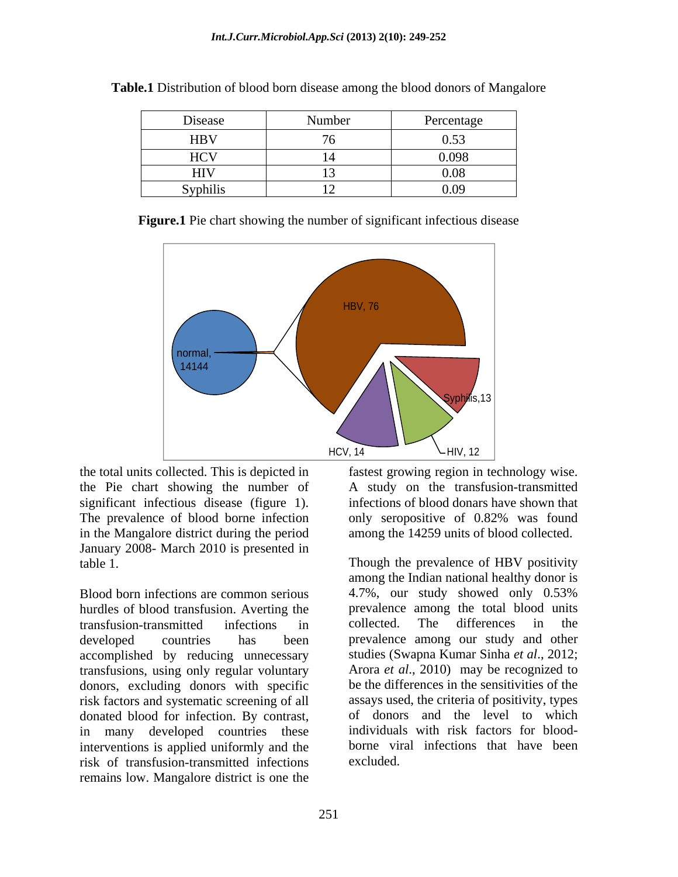| Disease    | the company of the company of the<br>Number | Percentage     |
|------------|---------------------------------------------|----------------|
| <b>HBV</b> | $ -$                                        | 0.53           |
| <b>HCV</b> |                                             | 0.098<br>0.020 |
| HIV        | - -                                         | 0.08           |
| Syphilis   |                                             | 0.09           |

**Table.1** Distribution of blood born disease among the blood donors of Mangalore

**Figure.1** Pie chart showing the number of significant infectious disease



the total units collected. This is depicted in fastest growing region in technology wise. the Pie chart showing the number of significant infectious disease (figure 1). The prevalence of blood borne infection only seropositive of 0.82% was found in the Mangalore district during the period January 2008- March 2010 is presented in

Blood born infections are common serious 4.7%, our study showed only 0.53% hurdles of blood transfusion. Averting the prevalence among the total b<br>transfusion-transmitted infections in collected. The differences transfusion-transmitted infections in developed countries has been prevalence among our study and other accomplished by reducing unnecessary transfusions, using only regular voluntary donors, excluding donors with specific risk factors and systematic screening of all donated blood for infection. By contrast, in many developed countries these interventions is applied uniformly and the risk of transfusion-transmitted infections remains low. Mangalore district is one the

A study on the transfusion-transmitted infections of blood donars have shown that only seropositive of 0.82% was found among the 14259 units of blood collected.

table 1. Though the prevalence of HBV positivity among the Indian national healthy donor is 4.7%, our study showed only 0.53% prevalence among the total blood units collected. The differences in the studies (Swapna Kumar Sinha *et al*., 2012; Arora *et al*., 2010) may be recognized to be the differences in the sensitivities of the assays used, the criteria of positivity, types of donors and the level to which individuals with risk factors for blood borne viral infections that have been excluded.